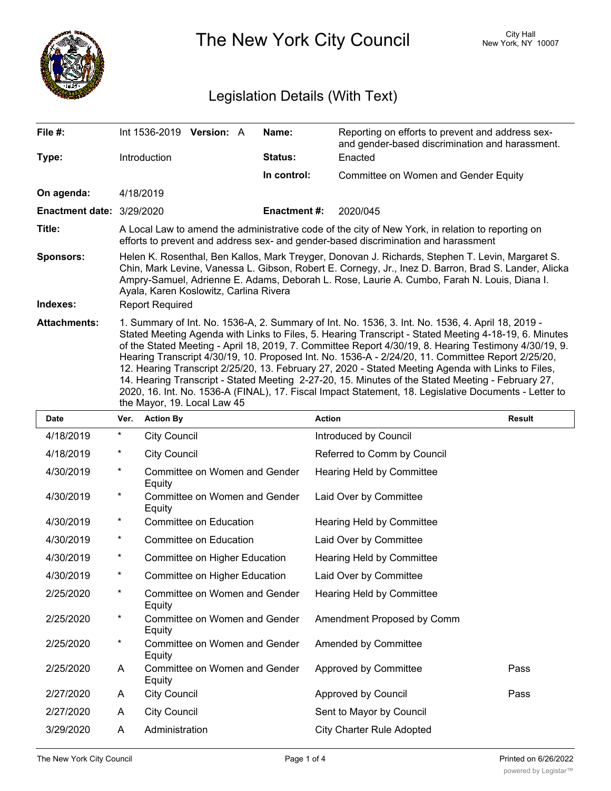

The New York City Council New York, NY 10007

## Legislation Details (With Text)

| File #:                          | Int 1536-2019 Version: A                                                                                                                                                                                                                                                                                                                                                                                                                                                                                                                                                                                                                                                                                                                                                    | Name:               | Reporting on efforts to prevent and address sex-<br>and gender-based discrimination and harassment. |  |  |
|----------------------------------|-----------------------------------------------------------------------------------------------------------------------------------------------------------------------------------------------------------------------------------------------------------------------------------------------------------------------------------------------------------------------------------------------------------------------------------------------------------------------------------------------------------------------------------------------------------------------------------------------------------------------------------------------------------------------------------------------------------------------------------------------------------------------------|---------------------|-----------------------------------------------------------------------------------------------------|--|--|
| Type:                            | <b>Introduction</b>                                                                                                                                                                                                                                                                                                                                                                                                                                                                                                                                                                                                                                                                                                                                                         | <b>Status:</b>      | Enacted                                                                                             |  |  |
|                                  |                                                                                                                                                                                                                                                                                                                                                                                                                                                                                                                                                                                                                                                                                                                                                                             | In control:         | Committee on Women and Gender Equity                                                                |  |  |
| On agenda:                       | 4/18/2019                                                                                                                                                                                                                                                                                                                                                                                                                                                                                                                                                                                                                                                                                                                                                                   |                     |                                                                                                     |  |  |
| <b>Enactment date: 3/29/2020</b> |                                                                                                                                                                                                                                                                                                                                                                                                                                                                                                                                                                                                                                                                                                                                                                             | <b>Enactment #:</b> | 2020/045                                                                                            |  |  |
| Title:                           | A Local Law to amend the administrative code of the city of New York, in relation to reporting on<br>efforts to prevent and address sex- and gender-based discrimination and harassment                                                                                                                                                                                                                                                                                                                                                                                                                                                                                                                                                                                     |                     |                                                                                                     |  |  |
| <b>Sponsors:</b>                 | Helen K. Rosenthal, Ben Kallos, Mark Treyger, Donovan J. Richards, Stephen T. Levin, Margaret S.<br>Chin, Mark Levine, Vanessa L. Gibson, Robert E. Cornegy, Jr., Inez D. Barron, Brad S. Lander, Alicka<br>Ampry-Samuel, Adrienne E. Adams, Deborah L. Rose, Laurie A. Cumbo, Farah N. Louis, Diana I.<br>Ayala, Karen Koslowitz, Carlina Rivera                                                                                                                                                                                                                                                                                                                                                                                                                           |                     |                                                                                                     |  |  |
| Indexes:                         | <b>Report Required</b>                                                                                                                                                                                                                                                                                                                                                                                                                                                                                                                                                                                                                                                                                                                                                      |                     |                                                                                                     |  |  |
| <b>Attachments:</b>              | 1. Summary of Int. No. 1536-A, 2. Summary of Int. No. 1536, 3. Int. No. 1536, 4. April 18, 2019 -<br>Stated Meeting Agenda with Links to Files, 5. Hearing Transcript - Stated Meeting 4-18-19, 6. Minutes<br>of the Stated Meeting - April 18, 2019, 7. Committee Report 4/30/19, 8. Hearing Testimony 4/30/19, 9.<br>Hearing Transcript 4/30/19, 10. Proposed Int. No. 1536-A - 2/24/20, 11. Committee Report 2/25/20,<br>12. Hearing Transcript 2/25/20, 13. February 27, 2020 - Stated Meeting Agenda with Links to Files,<br>14. Hearing Transcript - Stated Meeting 2-27-20, 15. Minutes of the Stated Meeting - February 27,<br>2020, 16. Int. No. 1536-A (FINAL), 17. Fiscal Impact Statement, 18. Legislative Documents - Letter to<br>the Mayor, 19. Local Law 45 |                     |                                                                                                     |  |  |

| <b>Date</b> | Ver.    | <b>Action By</b>                        | <b>Action</b>                    | <b>Result</b> |
|-------------|---------|-----------------------------------------|----------------------------------|---------------|
| 4/18/2019   | $^\ast$ | <b>City Council</b>                     | Introduced by Council            |               |
| 4/18/2019   | $\star$ | <b>City Council</b>                     | Referred to Comm by Council      |               |
| 4/30/2019   | $\star$ | Committee on Women and Gender<br>Equity | Hearing Held by Committee        |               |
| 4/30/2019   | $\star$ | Committee on Women and Gender<br>Equity | Laid Over by Committee           |               |
| 4/30/2019   | $\star$ | Committee on Education                  | Hearing Held by Committee        |               |
| 4/30/2019   | $^\ast$ | Committee on Education                  | Laid Over by Committee           |               |
| 4/30/2019   | $\ast$  | Committee on Higher Education           | Hearing Held by Committee        |               |
| 4/30/2019   | $\ast$  | Committee on Higher Education           | Laid Over by Committee           |               |
| 2/25/2020   | $\star$ | Committee on Women and Gender<br>Equity | Hearing Held by Committee        |               |
| 2/25/2020   | $\ast$  | Committee on Women and Gender<br>Equity | Amendment Proposed by Comm       |               |
| 2/25/2020   | $\star$ | Committee on Women and Gender<br>Equity | Amended by Committee             |               |
| 2/25/2020   | A       | Committee on Women and Gender<br>Equity | Approved by Committee            | Pass          |
| 2/27/2020   | A       | <b>City Council</b>                     | Approved by Council              | Pass          |
| 2/27/2020   | A       | <b>City Council</b>                     | Sent to Mayor by Council         |               |
| 3/29/2020   | A       | Administration                          | <b>City Charter Rule Adopted</b> |               |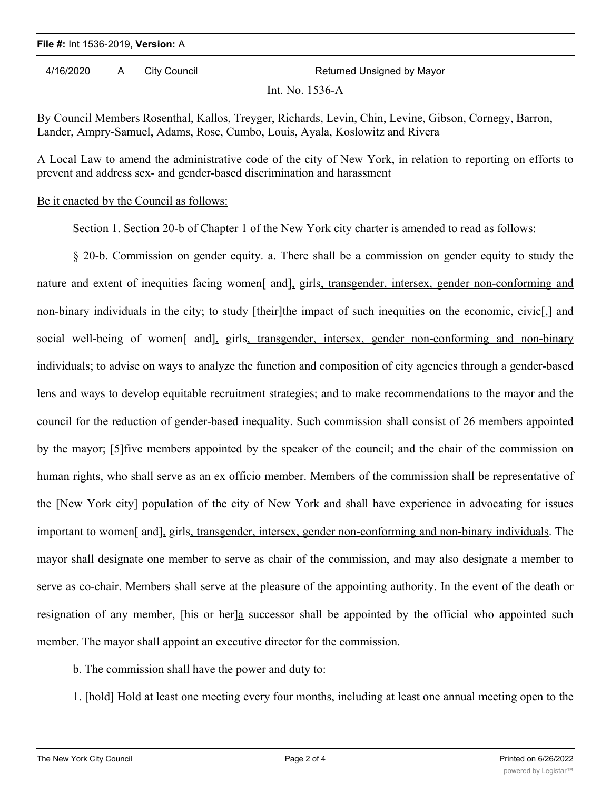## **File #:** Int 1536-2019, **Version:** A

4/16/2020 A City Council Returned Unsigned by Mayor

Int. No. 1536-A

By Council Members Rosenthal, Kallos, Treyger, Richards, Levin, Chin, Levine, Gibson, Cornegy, Barron, Lander, Ampry-Samuel, Adams, Rose, Cumbo, Louis, Ayala, Koslowitz and Rivera

A Local Law to amend the administrative code of the city of New York, in relation to reporting on efforts to prevent and address sex- and gender-based discrimination and harassment

## Be it enacted by the Council as follows:

Section 1. Section 20-b of Chapter 1 of the New York city charter is amended to read as follows:

§ 20-b. Commission on gender equity. a. There shall be a commission on gender equity to study the nature and extent of inequities facing women<sup>[</sup> and], girls, transgender, intersex, gender non-conforming and non-binary individuals in the city; to study [their]the impact of such inequities on the economic, civic[,] and social well-being of women<sup>[</sup> and], girls, transgender, intersex, gender non-conforming and non-binary individuals; to advise on ways to analyze the function and composition of city agencies through a gender-based lens and ways to develop equitable recruitment strategies; and to make recommendations to the mayor and the council for the reduction of gender-based inequality. Such commission shall consist of 26 members appointed by the mayor; [5] five members appointed by the speaker of the council; and the chair of the commission on human rights, who shall serve as an ex officio member. Members of the commission shall be representative of the [New York city] population of the city of New York and shall have experience in advocating for issues important to women[ and], girls, transgender, intersex, gender non-conforming and non-binary individuals. The mayor shall designate one member to serve as chair of the commission, and may also designate a member to serve as co-chair. Members shall serve at the pleasure of the appointing authority. In the event of the death or resignation of any member, [his or her]a successor shall be appointed by the official who appointed such member. The mayor shall appoint an executive director for the commission.

b. The commission shall have the power and duty to:

1. [hold] Hold at least one meeting every four months, including at least one annual meeting open to the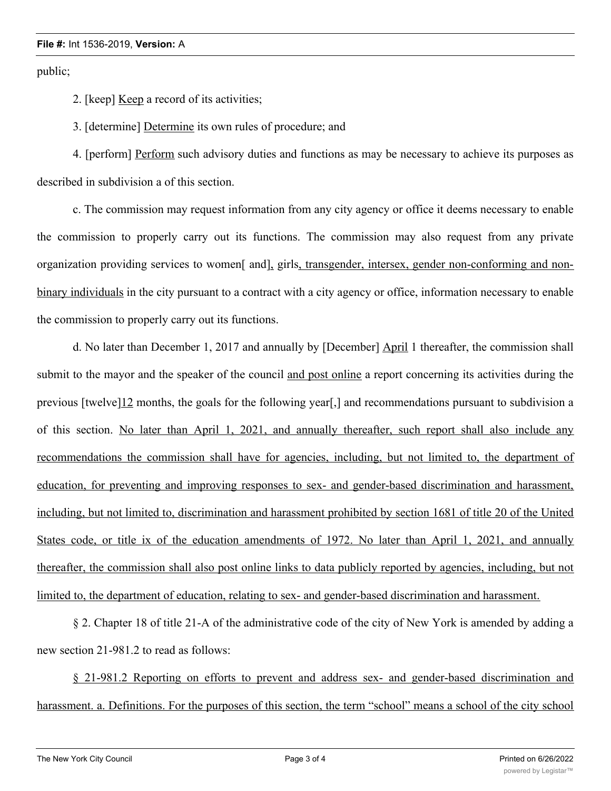## **File #:** Int 1536-2019, **Version:** A

public;

2. [keep] Keep a record of its activities;

3. [determine] Determine its own rules of procedure; and

4. [perform] Perform such advisory duties and functions as may be necessary to achieve its purposes as described in subdivision a of this section.

c. The commission may request information from any city agency or office it deems necessary to enable the commission to properly carry out its functions. The commission may also request from any private organization providing services to women[ and], girls, transgender, intersex, gender non-conforming and nonbinary individuals in the city pursuant to a contract with a city agency or office, information necessary to enable the commission to properly carry out its functions.

d. No later than December 1, 2017 and annually by [December] April 1 thereafter, the commission shall submit to the mayor and the speaker of the council and post online a report concerning its activities during the previous [twelve]12 months, the goals for the following year[,] and recommendations pursuant to subdivision a of this section. No later than April 1, 2021, and annually thereafter, such report shall also include any recommendations the commission shall have for agencies, including, but not limited to, the department of education, for preventing and improving responses to sex- and gender-based discrimination and harassment, including, but not limited to, discrimination and harassment prohibited by section 1681 of title 20 of the United States code, or title ix of the education amendments of 1972. No later than April 1, 2021, and annually thereafter, the commission shall also post online links to data publicly reported by agencies, including, but not limited to, the department of education, relating to sex- and gender-based discrimination and harassment.

§ 2. Chapter 18 of title 21-A of the administrative code of the city of New York is amended by adding a new section 21-981.2 to read as follows:

§ 21-981.2 Reporting on efforts to prevent and address sex- and gender-based discrimination and harassment. a. Definitions. For the purposes of this section, the term "school" means a school of the city school